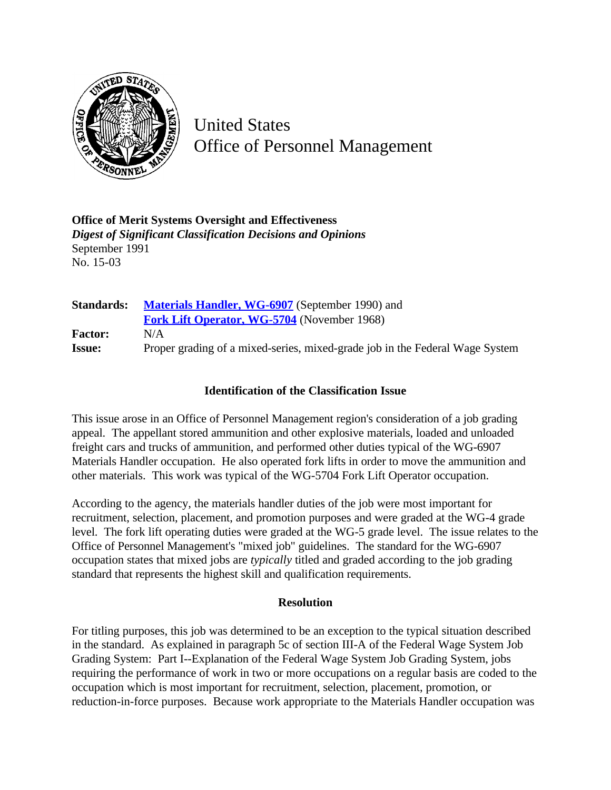

United States Office of Personnel Management

**Office of Merit Systems Oversight and Effectiveness** *Digest of Significant Classification Decisions and Opinions* September 1991 No. 15-03

| <b>Standards:</b> | <b>Materials Handler, WG-6907</b> (September 1990) and                       |
|-------------------|------------------------------------------------------------------------------|
|                   | <b>Fork Lift Operator, WG-5704</b> (November 1968)                           |
| <b>Factor:</b>    | N/A                                                                          |
| <b>Issue:</b>     | Proper grading of a mixed-series, mixed-grade job in the Federal Wage System |

## **Identification of the Classification Issue**

This issue arose in an Office of Personnel Management region's consideration of a job grading appeal. The appellant stored ammunition and other explosive materials, loaded and unloaded freight cars and trucks of ammunition, and performed other duties typical of the WG-6907 Materials Handler occupation. He also operated fork lifts in order to move the ammunition and other materials. This work was typical of the WG-5704 Fork Lift Operator occupation.

According to the agency, the materials handler duties of the job were most important for recruitment, selection, placement, and promotion purposes and were graded at the WG-4 grade level. The fork lift operating duties were graded at the WG-5 grade level. The issue relates to the Office of Personnel Management's "mixed job" guidelines. The standard for the WG-6907 occupation states that mixed jobs are *typically* titled and graded according to the job grading standard that represents the highest skill and qualification requirements.

## **Resolution**

For titling purposes, this job was determined to be an exception to the typical situation described in the standard. As explained in paragraph 5c of section III-A of the Federal Wage System Job Grading System: Part I--Explanation of the Federal Wage System Job Grading System, jobs requiring the performance of work in two or more occupations on a regular basis are coded to the occupation which is most important for recruitment, selection, placement, promotion, or reduction-in-force purposes. Because work appropriate to the Materials Handler occupation was